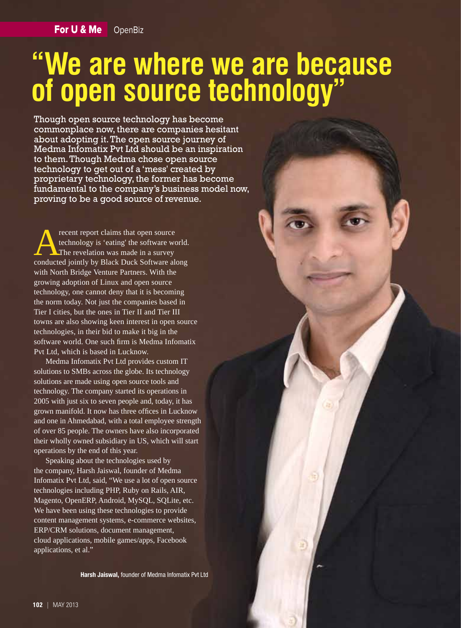# **"We are where we are because of open source technology"**

Though open source technology has become commonplace now, there are companies hesitant about adopting it. The open source journey of Medma Infomatix Pvt Ltd should be an inspiration to them. Though Medma chose open source technology to get out of a 'mess' created by proprietary technology, the former has become fundamental to the company's business model now, proving to be a good source of revenue.

recent report claims that open source<br>technology is 'eating' the software worker<br>conducted jointly by Black Duck Software also technology is 'eating' the software world. The revelation was made in a survey conducted jointly by Black Duck Software along with North Bridge Venture Partners. With the growing adoption of Linux and open source technology, one cannot deny that it is becoming the norm today. Not just the companies based in Tier I cities, but the ones in Tier II and Tier III towns are also showing keen interest in open source technologies, in their bid to make it big in the software world. One such firm is Medma Infomatix Pvt Ltd, which is based in Lucknow.

Medma Infomatix Pvt Ltd provides custom IT solutions to SMBs across the globe. Its technology solutions are made using open source tools and technology. The company started its operations in 2005 with just six to seven people and, today, it has grown manifold. It now has three offices in Lucknow and one in Ahmedabad, with a total employee strength of over 85 people. The owners have also incorporated their wholly owned subsidiary in US, which will start operations by the end of this year.

Speaking about the technologies used by the company, Harsh Jaiswal, founder of Medma Infomatix Pvt Ltd, said, "We use a lot of open source technologies including PHP, Ruby on Rails, AIR, Magento, OpenERP, Android, MySQL, SQLite, etc. We have been using these technologies to provide content management systems, e-commerce websites, ERP/CRM solutions, document management, cloud applications, mobile games/apps, Facebook applications, et al."

**Harsh Jaiswal,** founder of Medma Infomatix Pvt Ltd